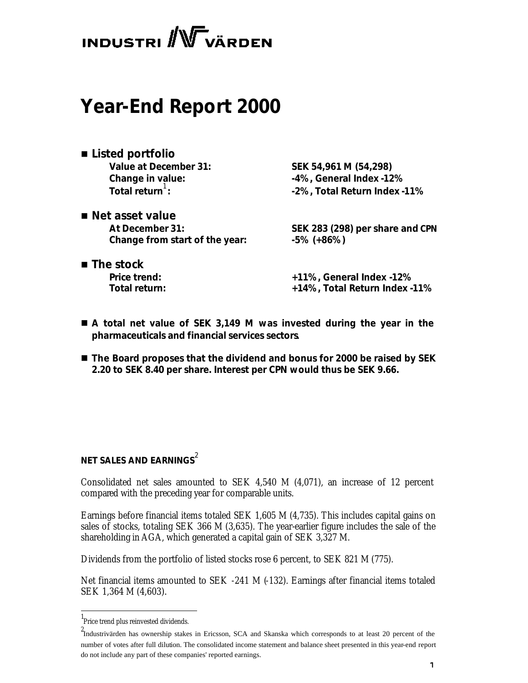# **INDUSTRI** WV VÄRDEN

# **Year-End Report 2000**

- *Listed portfolio* **Value at December 31: SEK 54,961 M (54,298) Total return**:
- *Net asset value* **Change from start of the year: -5% (+86%)**

**Change in value: -4%, General Index -12% : -2%, Total Return Index -11%**

**At December 31: SEK 283 (298) per share and CPN**

■ *The stock* 

**Price trend: +11%, General Index -12% Total return: +14%, Total Return Index -11%**

- A total net value of SEK 3,149 M was invested during the year in the *pharmaceuticals and financial services sectors.*
- The Board proposes that the dividend and bonus for 2000 be raised by SEK *2.20 to SEK 8.40 per share. Interest per CPN would thus be SEK 9.66.*

# **NET SALES AND EARNINGS**<sup>2</sup>

Consolidated net sales amounted to SEK 4,540 M (4,071), an increase of 12 percent compared with the preceding year for comparable units.

Earnings before financial items totaled SEK 1,605 M (4,735). This includes capital gains on sales of stocks, totaling SEK 366 M (3,635). The year-earlier figure includes the sale of the shareholding in AGA, which generated a capital gain of SEK 3,327 M.

Dividends from the portfolio of listed stocks rose 6 percent, to SEK 821 M (775).

Net financial items amounted to SEK  $-241$  M  $(-132)$ . Earnings after financial items totaled SEK 1,364 M (4,603).

l

<sup>1</sup> Price trend plus reinvested dividends.

<sup>2</sup> Industrivärden has ownership stakes in Ericsson, SCA and Skanska which corresponds to at least 20 percent of the number of votes after full dilution. The consolidated income statement and balance sheet presented in this year-end report do not include any part of these companies' reported earnings.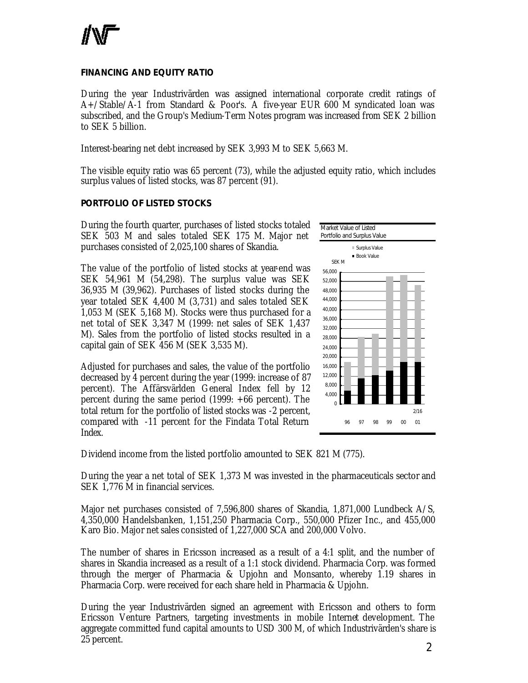

#### **FINANCING AND EQUITY RATIO**

During the year Industrivärden was assigned international corporate credit ratings of A+/Stable/A-1 from Standard & Poor's. A five-year EUR 600 M syndicated loan was subscribed, and the Group's Medium-Term Notes program was increased from SEK 2 billion to SEK 5 billion.

Interest-bearing net debt increased by SEK 3,993 M to SEK 5,663 M.

The visible equity ratio was 65 percent (73), while the adjusted equity ratio, which includes surplus values of listed stocks, was 87 percent (91).

#### **PORTFOLIO OF LISTED STOCKS**

During the fourth quarter, purchases of listed stocks totaled SEK 503 M and sales totaled SEK 175 M. Major net purchases consisted of 2,025,100 shares of Skandia.

The value of the portfolio of listed stocks at year-end was SEK 54,961 M (54,298). The surplus value was SEK 36,935 M (39,962). Purchases of listed stocks during the year totaled SEK 4,400 M (3,731) and sales totaled SEK 1,053 M (SEK 5,168 M). Stocks were thus purchased for a net total of SEK 3,347 M (1999: net sales of SEK 1,437 M). Sales from the portfolio of listed stocks resulted in a capital gain of SEK 456 M (SEK 3,535 M).

Adjusted for purchases and sales, the value of the portfolio decreased by 4 percent during the year (1999: increase of 87 percent). The Affärsvärlden General Index fell by 12 percent during the same period (1999: +66 percent). The total return for the portfolio of listed stocks was -2 percent, compared with -11 percent for the Findata Total Return Index.



Dividend income from the listed portfolio amounted to SEK 821 M (775).

During the year a net total of SEK 1,373 M was invested in the pharmaceuticals sector and SEK 1,776 M in financial services.

Major net purchases consisted of 7,596,800 shares of Skandia, 1,871,000 Lundbeck A/S, 4,350,000 Handelsbanken, 1,151,250 Pharmacia Corp., 550,000 Pfizer Inc., and 455,000 Karo Bio. Major net sales consisted of 1,227,000 SCA and 200,000 Volvo.

The number of shares in Ericsson increased as a result of a 4:1 split, and the number of shares in Skandia increased as a result of a 1:1 stock dividend. Pharmacia Corp. was formed through the merger of Pharmacia & Upjohn and Monsanto, whereby 1.19 shares in Pharmacia Corp. were received for each share held in Pharmacia & Upjohn.

During the year Industrivärden signed an agreement with Ericsson and others to form Ericsson Venture Partners, targeting investments in mobile Internet development. The aggregate committed fund capital amounts to USD 300 M, of which Industrivärden's share is 25 percent.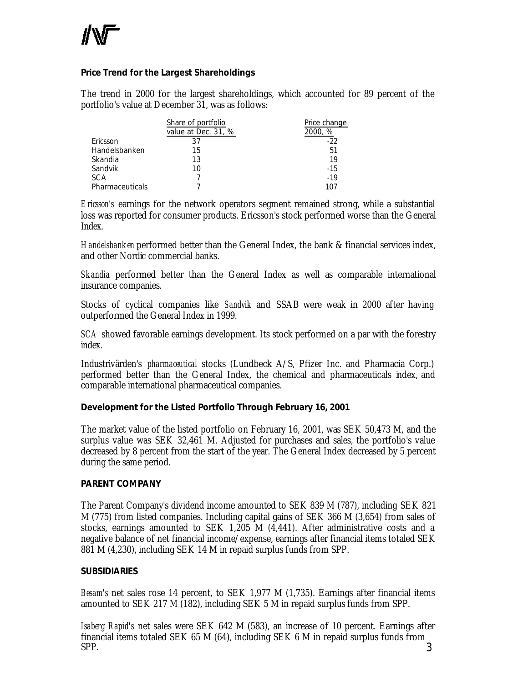#### **Price Trend for the Largest Shareholdings**

The trend in 2000 for the largest shareholdings, which accounted for 89 percent of the portfolio's value at December 31, was as follows:

|                 | Share of portfolio<br>value at Dec. 31, % | Price change<br>2000, % |
|-----------------|-------------------------------------------|-------------------------|
| Ericsson        | 37                                        | -22                     |
| Handelsbanken   | 15                                        | 51                      |
| Skandia         | 13                                        | 19                      |
| Sandvik         | 10                                        | $-15$                   |
| <b>SCA</b>      |                                           | $-19$                   |
| Pharmaceuticals |                                           | 107                     |

*Ericsson's* earnings for the network operators segment remained strong, while a substantial loss was reported for consumer products. Ericsson's stock performed worse than the General Index.

*Handelsbanken* performed better than the General Index, the bank & financial services index, and other Nordic commercial banks.

*Skandia* performed better than the General Index as well as comparable international insurance companies.

Stocks of cyclical companies like *Sandvik* and SSAB were weak in 2000 after having outperformed the General Index in 1999.

*SCA* showed favorable earnings development. Its stock performed on a par with the forestry index.

Industrivärden's *pharmaceutical* stocks (Lundbeck A/S, Pfizer Inc. and Pharmacia Corp.) performed better than the General Index, the chemical and pharmaceuticals index, and comparable international pharmaceutical companies.

#### **Development for the Listed Portfolio Through February 16, 2001**

The market value of the listed portfolio on February 16, 2001, was SEK 50,473 M, and the surplus value was SEK 32,461 M. Adjusted for purchases and sales, the portfolio's value decreased by 8 percent from the start of the year. The General Index decreased by 5 percent during the same period.

#### **PARENT COMPANY**

The Parent Company's dividend income amounted to SEK 839 M (787), including SEK 821 M (775) from listed companies. Including capital gains of SEK 366 M (3,654) from sales of stocks, earnings amounted to SEK 1,205 M (4,441). After administrative costs and a negative balance of net financial income/expense, earnings after financial items totaled SEK 881 M (4,230), including SEK 14 M in repaid surplus funds from SPP.

#### **SUBSIDIARIES**

*Besam's* net sales rose 14 percent, to SEK 1,977 M (1,735). Earnings after financial items amounted to SEK 217 M (182), including SEK 5 M in repaid surplus funds from SPP.

3 *Isaberg Rapid's* net sales were SEK 642 M (583), an increase of 10 percent. Earnings after financial items totaled SEK 65 M (64), including SEK 6 M in repaid surplus funds from SPP.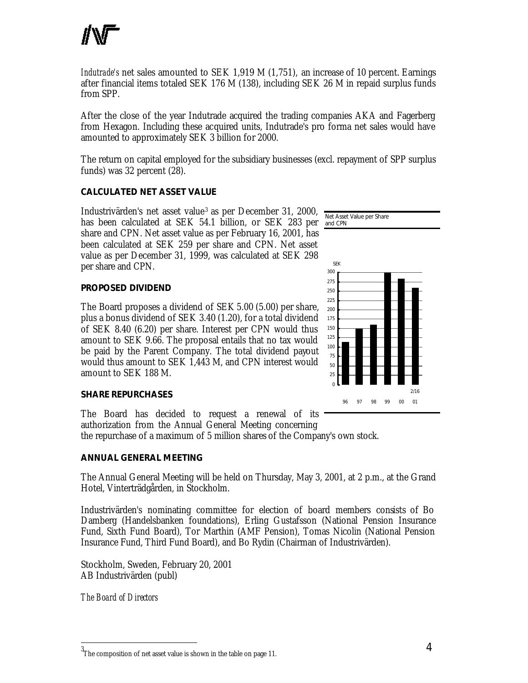

*Indutrade's* net sales amounted to SEK 1,919 M (1,751), an increase of 10 percent. Earnings after financial items totaled SEK 176 M (138), including SEK 26 M in repaid surplus funds from SPP.

After the close of the year Indutrade acquired the trading companies AKA and Fagerberg from Hexagon. Including these acquired units, Indutrade's pro forma net sales would have amounted to approximately SEK 3 billion for 2000.

The return on capital employed for the subsidiary businesses (excl. repayment of SPP surplus funds) was 32 percent (28).

#### **CALCULATED NET ASSET VALUE**

Industrivärden's net asset value<sup>3</sup> as per December 31, 2000, has been calculated at SEK 54.1 billion, or SEK 283 per share and CPN. Net asset value as per February 16, 2001, has been calculated at SEK 259 per share and CPN. Net asset value as per December 31, 1999, was calculated at SEK 298 per share and CPN.

#### **PROPOSED DIVIDEND**

The Board proposes a dividend of SEK 5.00 (5.00) per share, plus a bonus dividend of SEK 3.40 (1.20), for a total dividend of SEK 8.40 (6.20) per share. Interest per CPN would thus amount to SEK 9.66. The proposal entails that no tax would be paid by the Parent Company. The total dividend payout would thus amount to SEK 1,443 M, and CPN interest would amount to SEK 188 M.

#### **SHARE REPURCHASES**

The Board has decided to request a renewal of its authorization from the Annual General Meeting concerning

the repurchase of a maximum of 5 million shares of the Company's own stock.

#### **ANNUAL GENERAL MEETING**

The Annual General Meeting will be held on Thursday, May 3, 2001, at 2 p.m., at the Grand Hotel, Vinterträdgården, in Stockholm.

Industrivärden's nominating committee for election of board members consists of Bo Damberg (Handelsbanken foundations), Erling Gustafsson (National Pension Insurance Fund, Sixth Fund Board), Tor Marthin (AMF Pension), Tomas Nicolin (National Pension Insurance Fund, Third Fund Board), and Bo Rydin (Chairman of Industrivärden).

Stockholm, Sweden, February 20, 2001 AB Industrivärden (publ)

*The Board of Directors*

j



<sup>3</sup> The composition of net asset value is shown in the table on page 11.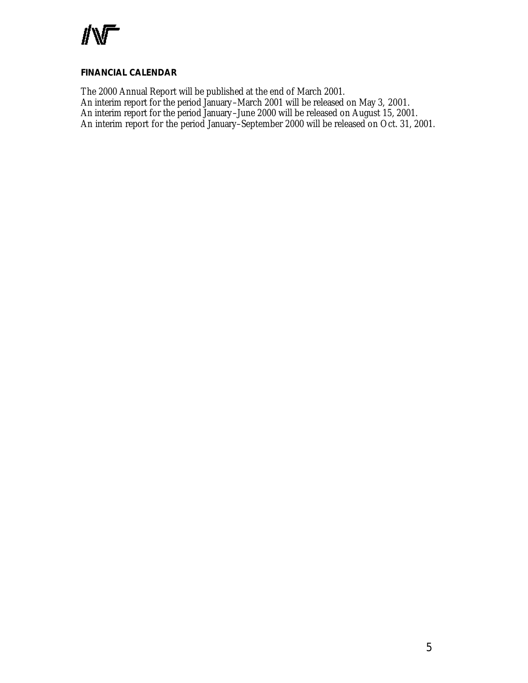

#### **FINANCIAL CALENDAR**

The 2000 Annual Report will be published at the end of March 2001. An interim report for the period January –March 2001 will be released on May 3, 2001. An interim report for the period January –June 2000 will be released on August 15, 2001. An interim report for the period January–September 2000 will be released on Oct. 31, 2001.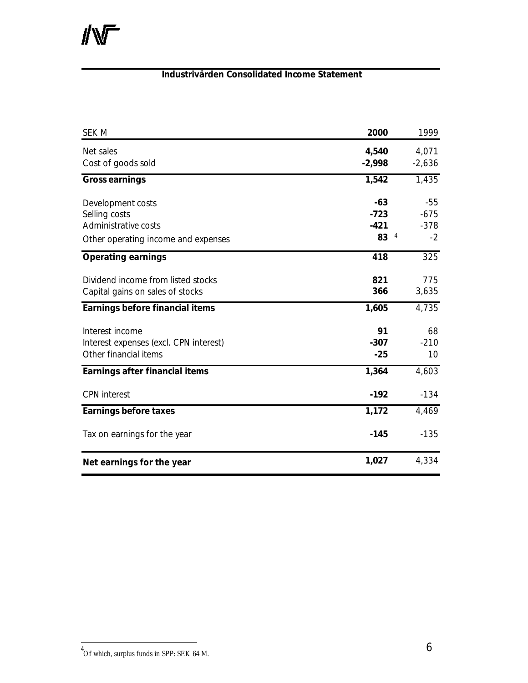# **Industrivärden Consolidated Income Statement**

| SEK M                                  | 2000     | 1999     |
|----------------------------------------|----------|----------|
| Net sales                              | 4,540    | 4,071    |
| Cost of goods sold                     | $-2,998$ | $-2,636$ |
| <b>Gross earnings</b>                  | 1,542    | 1,435    |
| Development costs                      | $-63$    | $-55$    |
| Selling costs                          | $-723$   | $-675$   |
| Administrative costs                   | $-421$   | $-378$   |
| Other operating income and expenses    | 83<br>4  | $-2$     |
| <b>Operating earnings</b>              | 418      | 325      |
| Dividend income from listed stocks     | 821      | 775      |
| Capital gains on sales of stocks       | 366      | 3,635    |
| Earnings before financial items        | 1,605    | 4,735    |
| Interest income                        | 91       | 68       |
| Interest expenses (excl. CPN interest) | $-307$   | $-210$   |
| Other financial items                  | $-25$    | 10       |
| Earnings after financial items         | 1,364    | 4,603    |
| <b>CPN</b> interest                    | $-192$   | $-134$   |
| <b>Earnings before taxes</b>           | 1,172    | 4,469    |
| Tax on earnings for the year           | $-145$   | $-135$   |
| Net earnings for the year              | 1,027    | 4,334    |

 4 Of which, surplus funds in SPP: SEK 64 M.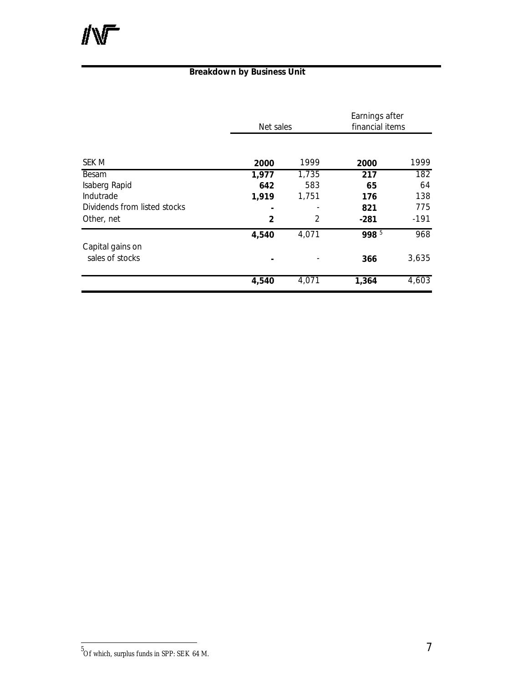# **Breakdown by Business Unit**

|                              | Net sales |       | Earnings after<br>financial items |        |
|------------------------------|-----------|-------|-----------------------------------|--------|
|                              |           |       |                                   |        |
| SEK M                        | 2000      | 1999  | 2000                              | 1999   |
| Besam                        | 1,977     | 1,735 | 217                               | 182    |
| Isaberg Rapid                | 642       | 583   | 65                                | 64     |
| Indutrade                    | 1,919     | 1,751 | 176                               | 138    |
| Dividends from listed stocks |           |       | 821                               | 775    |
| Other, net                   | 2         | 2     | $-281$                            | $-191$ |
|                              | 4,540     | 4,071 | 998 5                             | 968    |
| Capital gains on             |           |       |                                   |        |
| sales of stocks              |           |       | 366                               | 3,635  |
|                              | 4,540     | 4,071 | 1,364                             | 4,603  |

 5 Of which, surplus funds in SPP: SEK 64 M.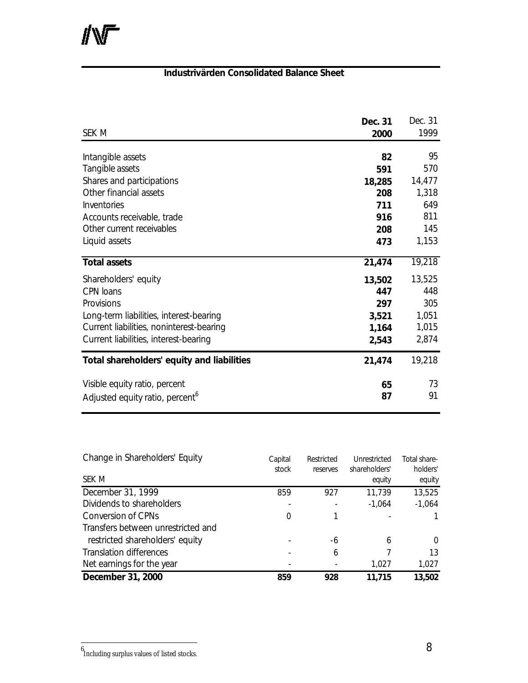# **Industrivärden Consolidated Balance Sheet**

|                                             | Dec. 31 | Dec. 31 |
|---------------------------------------------|---------|---------|
| SEK M                                       | 2000    | 1999    |
|                                             |         |         |
| Intangible assets                           | 82      | 95      |
| Tangible assets                             | 591     | 570     |
| Shares and participations                   | 18,285  | 14,477  |
| Other financial assets                      | 208     | 1,318   |
| Inventories                                 | 711     | 649     |
| Accounts receivable, trade                  | 916     | 811     |
| Other current receivables                   | 208     | 145     |
| Liquid assets                               | 473     | 1,153   |
|                                             |         |         |
| <b>Total assets</b>                         | 21,474  | 19,218  |
| Shareholders' equity                        | 13,502  | 13,525  |
| <b>CPN</b> loans                            | 447     | 448     |
| Provisions                                  | 297     | 305     |
| Long-term liabilities, interest-bearing     | 3,521   | 1,051   |
| Current liabilities, noninterest-bearing    | 1,164   | 1,015   |
| Current liabilities, interest-bearing       | 2,543   | 2,874   |
|                                             |         |         |
| Total shareholders' equity and liabilities  | 21,474  | 19,218  |
| Visible equity ratio, percent               | 65      | 73      |
| Adjusted equity ratio, percent <sup>6</sup> | 87      | 91      |
|                                             |         |         |

| Change in Shareholders' Equity     | Capital<br>stock | Restricted<br>reserves | Unrestricted<br>shareholders' | Total share-<br>holders' |
|------------------------------------|------------------|------------------------|-------------------------------|--------------------------|
| SEK M                              |                  |                        | equity                        | equity                   |
| December 31, 1999                  | 859              | 927                    | 11,739                        | 13,525                   |
| Dividends to shareholders          |                  |                        | $-1,064$                      | $-1,064$                 |
| Conversion of CPNs                 | 0                |                        |                               |                          |
| Transfers between unrestricted and |                  |                        |                               |                          |
| restricted shareholders' equity    |                  | -6                     | 6                             | $\Omega$                 |
| <b>Translation differences</b>     |                  | 6                      |                               | 13                       |
| Net earnings for the year          |                  |                        | 1.027                         | 1,027                    |
| December 31, 2000                  | 859              | 928                    | 11,715                        | 13,502                   |

 6 Including surplus values of listed stocks.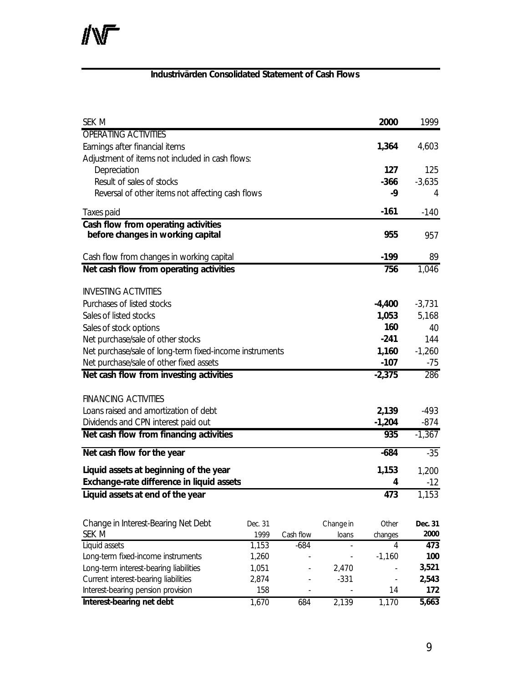### **Industrivärden Consolidated Statement of Cash Flows**

| <b>SEK M</b>                                                                   |         |           |           | 2000                         | 1999     |
|--------------------------------------------------------------------------------|---------|-----------|-----------|------------------------------|----------|
| <b>OPERATING ACTIVITIES</b>                                                    |         |           |           |                              |          |
| Earnings after financial items                                                 |         |           |           |                              | 4,603    |
| Adjustment of items not included in cash flows:                                |         |           |           |                              |          |
| Depreciation                                                                   |         |           |           | 127                          | 125      |
| Result of sales of stocks                                                      |         |           |           | $-366$                       | $-3,635$ |
| Reversal of other items not affecting cash flows                               |         |           |           | -9                           | 4        |
| <b>Taxes paid</b>                                                              |         |           |           | $-161$                       | $-140$   |
| Cash flow from operating activities                                            |         |           |           |                              |          |
| before changes in working capital                                              |         |           |           | 955                          | 957      |
| Cash flow from changes in working capital                                      |         |           |           | $-199$                       | 89       |
| Net cash flow from operating activities                                        |         |           |           | 756                          | 1,046    |
|                                                                                |         |           |           |                              |          |
| <b>INVESTING ACTIVITIES</b>                                                    |         |           |           |                              |          |
| Purchases of listed stocks                                                     |         |           |           | $-4,400$                     | $-3,731$ |
| Sales of listed stocks                                                         |         |           |           | 1,053                        | 5,168    |
| Sales of stock options                                                         |         |           |           | 160<br>$-241$                | 40       |
| Net purchase/sale of other stocks                                              |         |           |           |                              | 144      |
| Net purchase/sale of long-term fixed-income instruments                        |         |           |           |                              | $-1,260$ |
| Net purchase/sale of other fixed assets                                        |         |           |           |                              | -75      |
| Net cash flow from investing activities                                        |         |           |           | $-2,375$                     | 286      |
| <b>FINANCING ACTIVITIES</b>                                                    |         |           |           |                              |          |
| Loans raised and amortization of debt                                          |         |           |           | 2,139                        | $-493$   |
|                                                                                |         |           |           | $-1,204$                     | $-874$   |
| Dividends and CPN interest paid out<br>Net cash flow from financing activities |         |           |           | 935                          | $-1,367$ |
|                                                                                |         |           |           |                              |          |
| Net cash flow for the year                                                     |         |           |           | $-684$                       | $-35$    |
| Liquid assets at beginning of the year                                         |         |           |           | 1,153                        | 1,200    |
| Exchange-rate difference in liquid assets                                      |         |           |           | 4                            | $-12$    |
| Liquid assets at end of the year                                               |         |           |           | 473                          | 1,153    |
|                                                                                |         |           |           |                              |          |
| Change in Interest-Bearing Net Debt                                            | Dec. 31 |           | Change in | Other                        | Dec. 31  |
| SEK M                                                                          | 1999    | Cash flow | loans     | changes                      | 2000     |
| Liquid assets                                                                  | 1,153   | $-684$    |           | 4                            | 473      |
| Long-term fixed-income instruments                                             | 1,260   |           |           | $-1,160$                     | 100      |
| Long-term interest-bearing liabilities                                         | 1,051   |           | 2,470     |                              | 3,521    |
| Current interest-bearing liabilities                                           | 2,874   |           | $-331$    | $\qquad \qquad \blacksquare$ | 2,543    |
| Interest-bearing pension provision                                             | 158     |           |           | 14                           | 172      |
| Interest-bearing net debt                                                      | 1,670   | 684       | 2,139     | 1,170                        | 5,663    |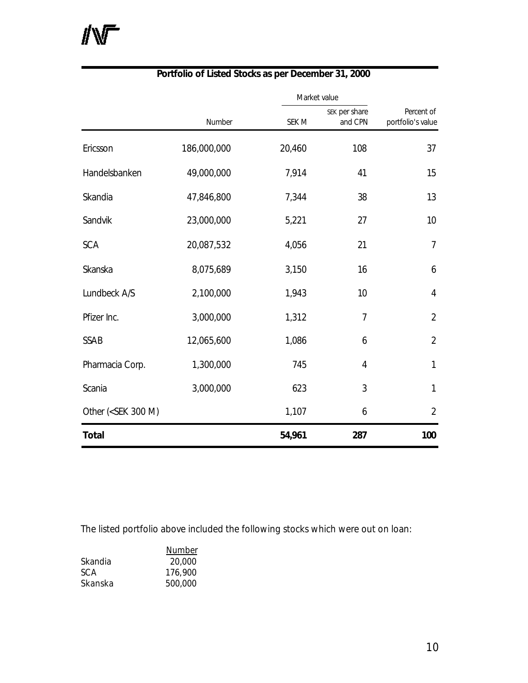|                                                                                                            | Market value |        |                          |                                 |  |
|------------------------------------------------------------------------------------------------------------|--------------|--------|--------------------------|---------------------------------|--|
|                                                                                                            | Number       | SEK M  | SEK per share<br>and CPN | Percent of<br>portfolio's value |  |
| Ericsson                                                                                                   | 186,000,000  | 20,460 | 108                      | 37                              |  |
| Handelsbanken                                                                                              | 49,000,000   | 7,914  | 41                       | 15                              |  |
| Skandia                                                                                                    | 47,846,800   | 7,344  | 38                       | 13                              |  |
| Sandvik                                                                                                    | 23,000,000   | 5,221  | 27                       | 10                              |  |
| <b>SCA</b>                                                                                                 | 20,087,532   | 4,056  | 21                       | 7                               |  |
| Skanska                                                                                                    | 8,075,689    | 3,150  | 16                       | 6                               |  |
| Lundbeck A/S                                                                                               | 2,100,000    | 1,943  | 10                       | 4                               |  |
| Pfizer Inc.                                                                                                | 3,000,000    | 1,312  | 7                        | $\overline{2}$                  |  |
| <b>SSAB</b>                                                                                                | 12,065,600   | 1,086  | 6                        | $\overline{2}$                  |  |
| Pharmacia Corp.                                                                                            | 1,300,000    | 745    | 4                        | 1                               |  |
| Scania                                                                                                     | 3,000,000    | 623    | 3                        | $\mathbf{1}$                    |  |
| Other ( <sek 300="" m)<="" td=""><td></td><td>1,107</td><td>6</td><td><math>\overline{2}</math></td></sek> |              | 1,107  | 6                        | $\overline{2}$                  |  |
| <b>Total</b>                                                                                               |              | 54,961 | 287                      | 100                             |  |

# **Portfolio of Listed Stocks as per December 31, 2000**

The listed portfolio above included the following stocks which were out on loan:

|         | <b>Number</b> |
|---------|---------------|
| Skandia | 20,000        |
| SCA     | 176,900       |
| Skanska | 500,000       |